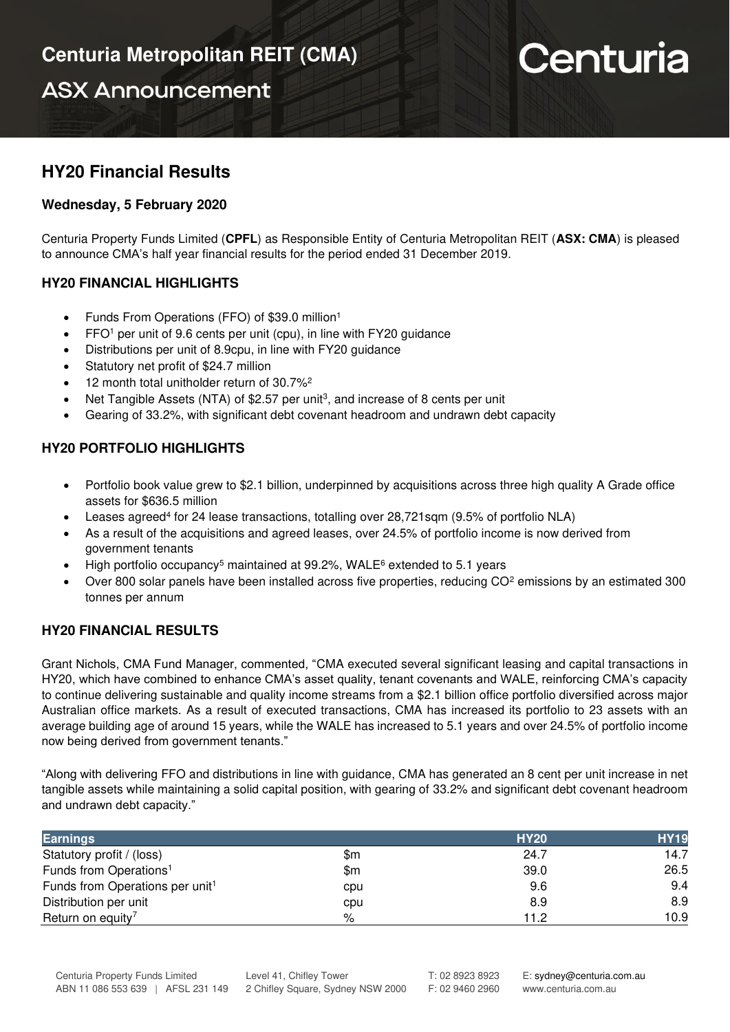**ASX Announcement** 

# Centuria

## **HY20 Financial Results**

### **Wednesday, 5 February 2020**

Centuria Property Funds Limited (**CPFL**) as Responsible Entity of Centuria Metropolitan REIT (**ASX: CMA**) is pleased to announce CMA's half year financial results for the period ended 31 December 2019.

### **HY20 FINANCIAL HIGHLIGHTS**

- Funds From Operations (FFO) of \$39.0 million<sup>1</sup>
- FFO<sup>1</sup> per unit of 9.6 cents per unit (cpu), in line with FY20 guidance
- Distributions per unit of 8.9cpu, in line with FY20 guidance
- Statutory net profit of \$24.7 million
- 12 month total unitholder return of 30.7%<sup>2</sup>
- Net Tangible Assets (NTA) of \$2.57 per unit<sup>3</sup>, and increase of 8 cents per unit
- Gearing of 33.2%, with significant debt covenant headroom and undrawn debt capacity

### **HY20 PORTFOLIO HIGHLIGHTS**

- Portfolio book value grew to \$2.1 billion, underpinned by acquisitions across three high quality A Grade office assets for \$636.5 million
- Leases agreed<sup>4</sup> for 24 lease transactions, totalling over 28,721sqm (9.5% of portfolio NLA)
- As a result of the acquisitions and agreed leases, over 24.5% of portfolio income is now derived from government tenants
- High portfolio occupancy<sup>5</sup> maintained at 99.2%, WALE<sup>6</sup> extended to 5.1 years
- Over 800 solar panels have been installed across five properties, reducing  $CO<sup>2</sup>$  emissions by an estimated 300 tonnes per annum

## **HY20 FINANCIAL RESULTS**

Grant Nichols, CMA Fund Manager, commented, "CMA executed several significant leasing and capital transactions in HY20, which have combined to enhance CMA's asset quality, tenant covenants and WALE, reinforcing CMA's capacity to continue delivering sustainable and quality income streams from a \$2.1 billion office portfolio diversified across major Australian office markets. As a result of executed transactions, CMA has increased its portfolio to 23 assets with an average building age of around 15 years, while the WALE has increased to 5.1 years and over 24.5% of portfolio income now being derived from government tenants."

"Along with delivering FFO and distributions in line with guidance, CMA has generated an 8 cent per unit increase in net tangible assets while maintaining a solid capital position, with gearing of 33.2% and significant debt covenant headroom and undrawn debt capacity."

| <b>Earnings</b>                             |     | <b>HY20</b> | <b>HY19</b> |
|---------------------------------------------|-----|-------------|-------------|
| Statutory profit / (loss)                   | \$m | 24.7        | 14.7        |
| Funds from Operations <sup>1</sup>          | \$m | 39.0        | 26.5        |
| Funds from Operations per unit <sup>1</sup> | cpu | 9.6         | 9.4         |
| Distribution per unit                       | cpu | 8.9         | 8.9         |
| Return on equity <sup>7</sup>               | %   | 11.2        | 10.9        |

Level 41, Chifley Tower

E: [sydney@centuria.com.au](mailto:sydney@centuria.com.au)  www.centuria.com.au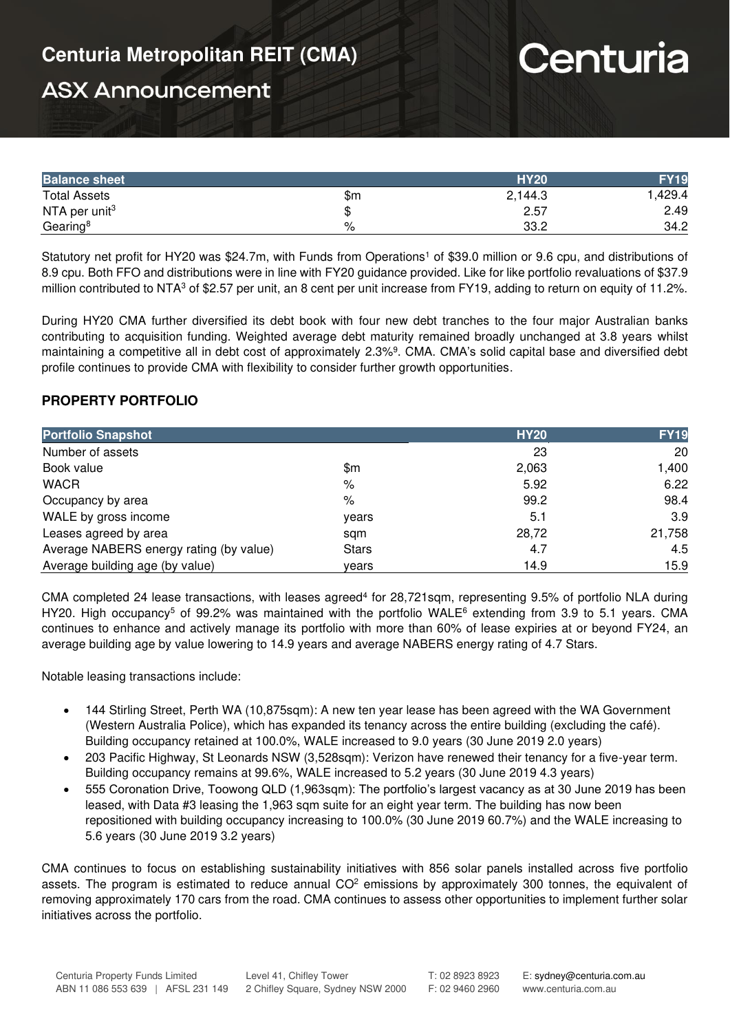# Centuria

## **ASX Announcement**

| <b>Balance sheet</b> |     | <b>HY20</b> |        |
|----------------------|-----|-------------|--------|
| <b>Total Assets</b>  | \$m | 2,144.3     | .429.4 |
| NTA per unit $3$     |     | 2.57        | 2.49   |
| Gearing <sup>8</sup> | %   | 33.2        | 34.2   |

Statutory net profit for HY20 was \$24.7m, with Funds from Operations<sup>1</sup> of \$39.0 million or 9.6 cpu, and distributions of 8.9 cpu. Both FFO and distributions were in line with FY20 guidance provided. Like for like portfolio revaluations of \$37.9 million contributed to NTA<sup>3</sup> of \$2.57 per unit, an 8 cent per unit increase from FY19, adding to return on equity of 11.2%.

During HY20 CMA further diversified its debt book with four new debt tranches to the four major Australian banks contributing to acquisition funding. Weighted average debt maturity remained broadly unchanged at 3.8 years whilst maintaining a competitive all in debt cost of approximately 2.3%<sup>9</sup> . CMA. CMA's solid capital base and diversified debt profile continues to provide CMA with flexibility to consider further growth opportunities.

### **PROPERTY PORTFOLIO**

| <b>Portfolio Snapshot</b>               |              | <b>HY20</b> | <b>FY19</b> |
|-----------------------------------------|--------------|-------------|-------------|
| Number of assets                        |              | 23          | 20          |
| Book value                              | \$m          | 2,063       | 1,400       |
| <b>WACR</b>                             | %            | 5.92        | 6.22        |
| Occupancy by area                       | %            | 99.2        | 98.4        |
| WALE by gross income                    | years        | 5.1         | 3.9         |
| Leases agreed by area                   | sam          | 28,72       | 21,758      |
| Average NABERS energy rating (by value) | <b>Stars</b> | 4.7         | 4.5         |
| Average building age (by value)         | vears        | 14.9        | 15.9        |

CMA completed 24 lease transactions, with leases agreed<sup>4</sup> for 28,721sqm, representing 9.5% of portfolio NLA during HY20. High occupancy<sup>5</sup> of 99.2% was maintained with the portfolio WALE<sup>6</sup> extending from 3.9 to 5.1 years. CMA continues to enhance and actively manage its portfolio with more than 60% of lease expiries at or beyond FY24, an average building age by value lowering to 14.9 years and average NABERS energy rating of 4.7 Stars.

Notable leasing transactions include:

- 144 Stirling Street, Perth WA (10,875sqm): A new ten year lease has been agreed with the WA Government (Western Australia Police), which has expanded its tenancy across the entire building (excluding the café). Building occupancy retained at 100.0%, WALE increased to 9.0 years (30 June 2019 2.0 years)
- 203 Pacific Highway, St Leonards NSW (3,528sqm): Verizon have renewed their tenancy for a five-year term. Building occupancy remains at 99.6%, WALE increased to 5.2 years (30 June 2019 4.3 years)
- 555 Coronation Drive, Toowong QLD (1,963sqm): The portfolio's largest vacancy as at 30 June 2019 has been leased, with Data #3 leasing the 1,963 sqm suite for an eight year term. The building has now been repositioned with building occupancy increasing to 100.0% (30 June 2019 60.7%) and the WALE increasing to 5.6 years (30 June 2019 3.2 years)

CMA continues to focus on establishing sustainability initiatives with 856 solar panels installed across five portfolio assets. The program is estimated to reduce annual  $CO<sup>2</sup>$  emissions by approximately 300 tonnes, the equivalent of removing approximately 170 cars from the road. CMA continues to assess other opportunities to implement further solar initiatives across the portfolio.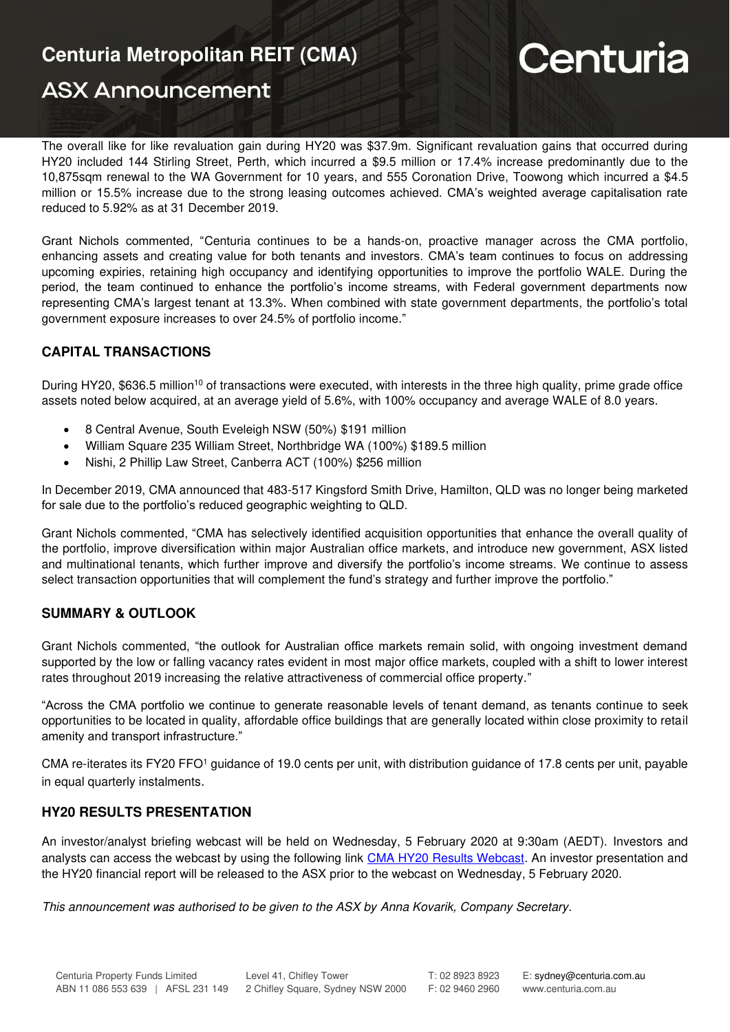# **Centuria Metropolitan REIT (CMA)**

## **ASX Announcement**

# Centuria

The overall like for like revaluation gain during HY20 was \$37.9m. Significant revaluation gains that occurred during HY20 included 144 Stirling Street, Perth, which incurred a \$9.5 million or 17.4% increase predominantly due to the 10,875sqm renewal to the WA Government for 10 years, and 555 Coronation Drive, Toowong which incurred a \$4.5 million or 15.5% increase due to the strong leasing outcomes achieved. CMA's weighted average capitalisation rate reduced to 5.92% as at 31 December 2019.

Grant Nichols commented, "Centuria continues to be a hands-on, proactive manager across the CMA portfolio, enhancing assets and creating value for both tenants and investors. CMA's team continues to focus on addressing upcoming expiries, retaining high occupancy and identifying opportunities to improve the portfolio WALE. During the period, the team continued to enhance the portfolio's income streams, with Federal government departments now representing CMA's largest tenant at 13.3%. When combined with state government departments, the portfolio's total government exposure increases to over 24.5% of portfolio income."

## **CAPITAL TRANSACTIONS**

During HY20, \$636.5 million<sup>10</sup> of transactions were executed, with interests in the three high quality, prime grade office assets noted below acquired, at an average yield of 5.6%, with 100% occupancy and average WALE of 8.0 years.

- 8 Central Avenue, South Eveleigh NSW (50%) \$191 million
- William Square 235 William Street, Northbridge WA (100%) \$189.5 million
- Nishi, 2 Phillip Law Street, Canberra ACT (100%) \$256 million

In December 2019, CMA announced that 483-517 Kingsford Smith Drive, Hamilton, QLD was no longer being marketed for sale due to the portfolio's reduced geographic weighting to QLD.

Grant Nichols commented, "CMA has selectively identified acquisition opportunities that enhance the overall quality of the portfolio, improve diversification within major Australian office markets, and introduce new government, ASX listed and multinational tenants, which further improve and diversify the portfolio's income streams. We continue to assess select transaction opportunities that will complement the fund's strategy and further improve the portfolio."

## **SUMMARY & OUTLOOK**

Grant Nichols commented, "the outlook for Australian office markets remain solid, with ongoing investment demand supported by the low or falling vacancy rates evident in most major office markets, coupled with a shift to lower interest rates throughout 2019 increasing the relative attractiveness of commercial office property."

"Across the CMA portfolio we continue to generate reasonable levels of tenant demand, as tenants continue to seek opportunities to be located in quality, affordable office buildings that are generally located within close proximity to retail amenity and transport infrastructure."

CMA re-iterates its FY20 FFO<sup>1</sup> guidance of 19.0 cents per unit, with distribution guidance of 17.8 cents per unit, payable in equal quarterly instalments.

### **HY20 RESULTS PRESENTATION**

An investor/analyst briefing webcast will be held on Wednesday, 5 February 2020 at 9:30am (AEDT). Investors and analysts can access the webcast by using the following link [CMA HY20 Results Webcast.](https://edge.media-server.com/mmc/p/ydffscq4) An investor presentation and the HY20 financial report will be released to the ASX prior to the webcast on Wednesday, 5 February 2020.

This announcement was authorised to be given to the ASX by Anna Kovarik, Company Secretary.